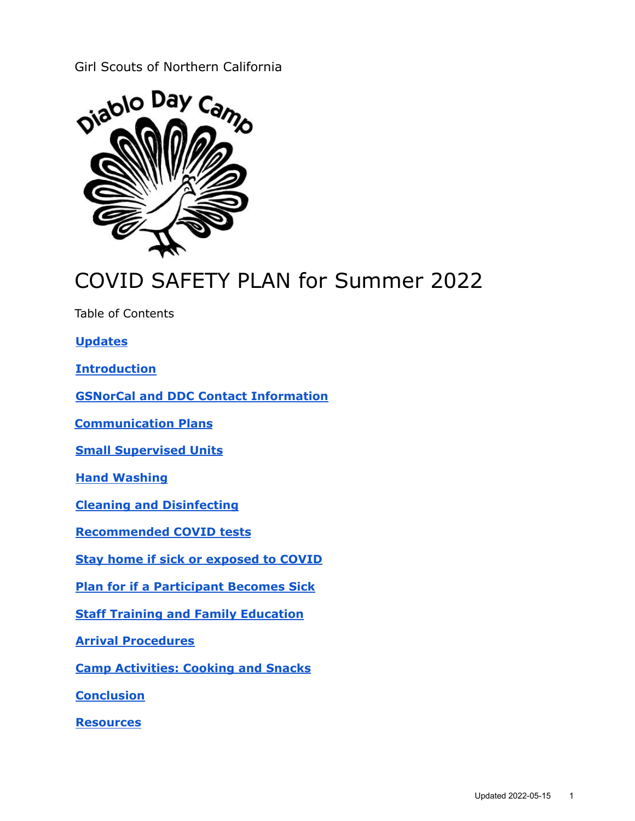## Girl Scouts of Northern California



# COVID SAFETY PLAN for Summer 2022

Table of Contents

**[Updates](#page-1-0)**

**[Introduction](#page-1-1)**

**GSNorCal and DDC Contact [Information](#page-1-2)**

**[Communication](#page-2-0) Plans**

**Small [Supervised](#page-2-1) Units**

**Hand [Washing](#page-2-2)**

**Cleaning and [Disinfecting](#page-3-0)**

**[Recommended](#page-3-1) COVID tests**

**Stay home if sick or [exposed](#page-3-2) to COVID**

**Plan for if a [Participant](#page-3-3) Becomes Sick**

**Staff Training and Family [Education](#page-4-0)**

**Arrival [Procedures](#page-4-1)**

**Camp [Activities:](#page-5-0) Cooking and Snacks**

**[Conclusion](#page-5-1)**

**[Resources](#page-5-2)**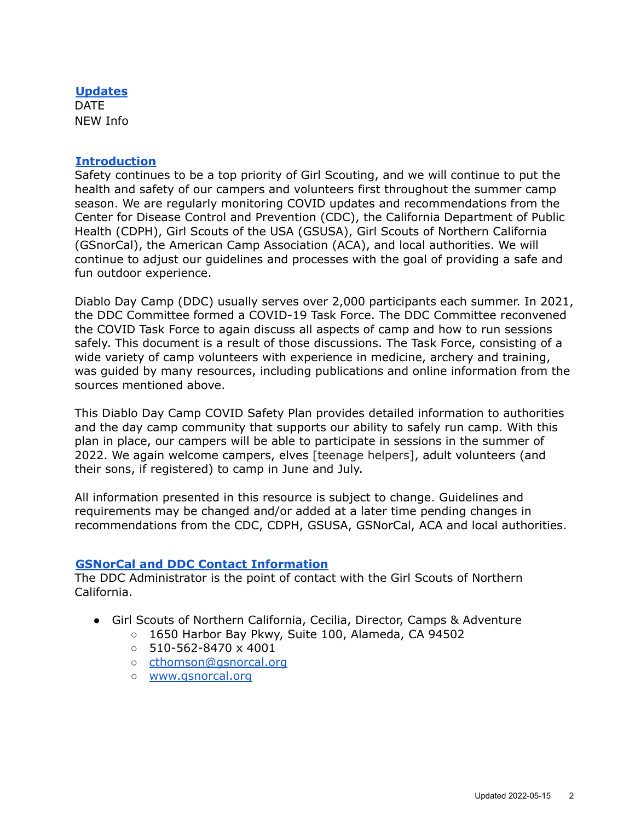#### <span id="page-1-0"></span>**Updates**

**DATE** NEW Info

#### <span id="page-1-1"></span>**Introduction**

Safety continues to be a top priority of Girl Scouting, and we will continue to put the health and safety of our campers and volunteers first throughout the summer camp season. We are regularly monitoring COVID updates and recommendations from the Center for Disease Control and Prevention (CDC), the California Department of Public Health (CDPH), Girl Scouts of the USA (GSUSA), Girl Scouts of Northern California (GSnorCal), the American Camp Association (ACA), and local authorities. We will continue to adjust our guidelines and processes with the goal of providing a safe and fun outdoor experience.

Diablo Day Camp (DDC) usually serves over 2,000 participants each summer. In 2021, the DDC Committee formed a COVID-19 Task Force. The DDC Committee reconvened the COVID Task Force to again discuss all aspects of camp and how to run sessions safely. This document is a result of those discussions. The Task Force, consisting of a wide variety of camp volunteers with experience in medicine, archery and training, was guided by many resources, including publications and online information from the sources mentioned above.

This Diablo Day Camp COVID Safety Plan provides detailed information to authorities and the day camp community that supports our ability to safely run camp. With this plan in place, our campers will be able to participate in sessions in the summer of 2022. We again welcome campers, elves [teenage helpers], adult volunteers (and their sons, if registered) to camp in June and July.

All information presented in this resource is subject to change. Guidelines and requirements may be changed and/or added at a later time pending changes in recommendations from the CDC, CDPH, GSUSA, GSNorCal, ACA and local authorities.

## <span id="page-1-2"></span>**GSNorCal and DDC Contact Information**

The DDC Administrator is the point of contact with the Girl Scouts of Northern California.

- Girl Scouts of Northern California, Cecilia, Director, Camps & Adventure
	- 1650 Harbor Bay Pkwy, Suite 100, Alameda, CA 94502
	- $\circ$  510-562-8470 x 4001
	- o [cthomson@gsnorcal.org](mailto:cthomson@gsnorcal.org)
	- [www.gsnorcal.org](http://www.gsnorcal.org)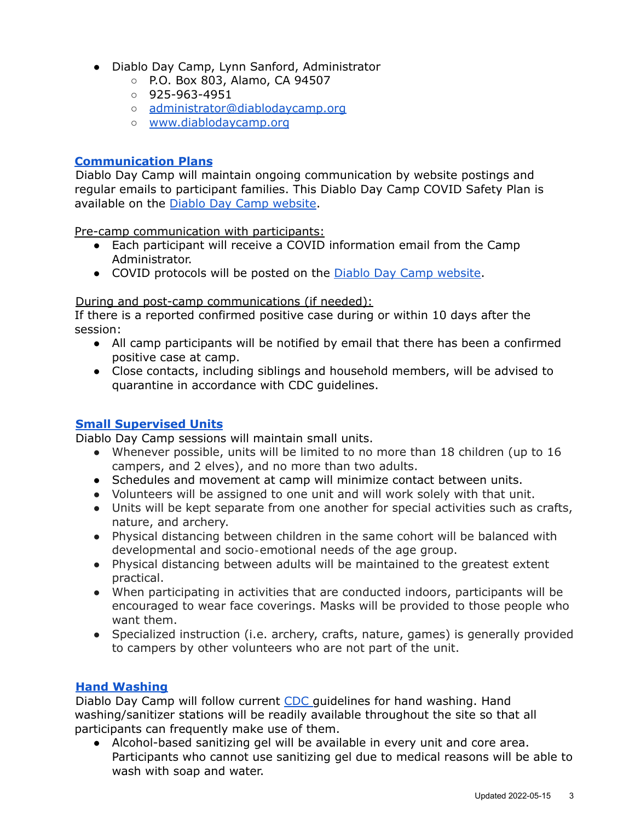- Diablo Day Camp, Lynn Sanford, Administrator
	- P.O. Box 803, Alamo, CA 94507
	- 925-963-4951
	- [administrator@diablodaycamp.org](mailto:administrator@diablodaycamp.org)
	- www.diablodaycamp.org

## <span id="page-2-0"></span>**Communication Plans**

Diablo Day Camp will maintain ongoing communication by website postings and regular emails to participant families. This Diablo Day Camp COVID Safety Plan is available on the Diablo Day Camp [website](https://diablodaycamp.org/).

Pre-camp communication with participants:

- Each participant will receive a COVID information email from the Camp Administrator.
- COVID protocols will be posted on the Diablo Day Camp [website.](https://diablodaycamp.org/)

## During and post-camp communications (if needed):

If there is a reported confirmed positive case during or within 10 days after the session:

- All camp participants will be notified by email that there has been a confirmed positive case at camp.
- Close contacts, including siblings and household members, will be advised to quarantine in accordance with CDC guidelines.

## <span id="page-2-1"></span>**Small Supervised Units**

Diablo Day Camp sessions will maintain small units.

- Whenever possible, units will be limited to no more than 18 children (up to 16 campers, and 2 elves), and no more than two adults.
- Schedules and movement at camp will minimize contact between units.
- Volunteers will be assigned to one unit and will work solely with that unit.
- Units will be kept separate from one another for special activities such as crafts, nature, and archery.
- Physical distancing between children in the same cohort will be balanced with developmental and socio‐emotional needs of the age group.
- Physical distancing between adults will be maintained to the greatest extent practical.
- When participating in activities that are conducted indoors, participants will be encouraged to wear face coverings. Masks will be provided to those people who want them.
- Specialized instruction (i.e. archery, crafts, nature, games) is generally provided to campers by other volunteers who are not part of the unit.

## <span id="page-2-2"></span>**Hand Washing**

Diablo Day Camp will follow current [CDC](https://www.cdc.gov/healthywater/hygiene/hand/handwashing.html) guidelines for hand washing. Hand washing/sanitizer stations will be readily available throughout the site so that all participants can frequently make use of them.

● Alcohol-based sanitizing gel will be available in every unit and core area. Participants who cannot use sanitizing gel due to medical reasons will be able to wash with soap and water.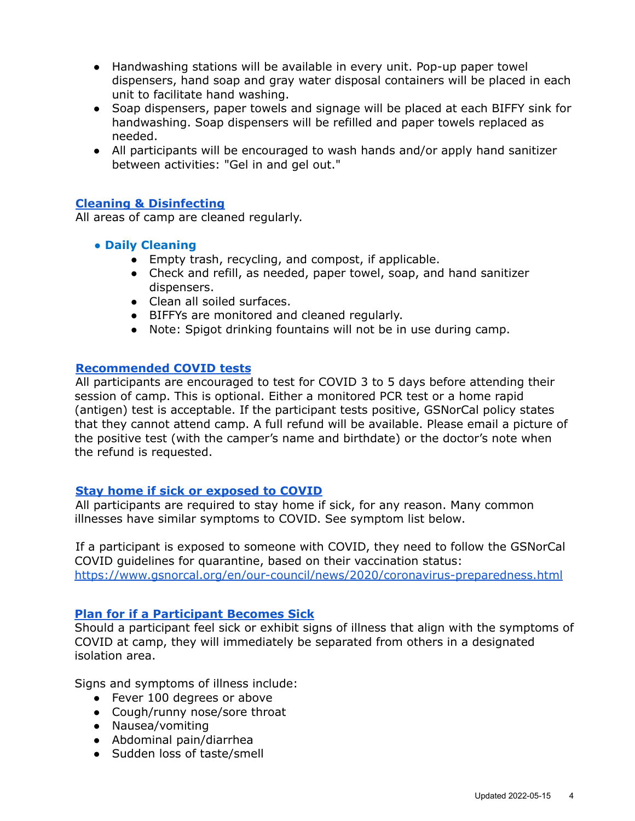- Handwashing stations will be available in every unit. Pop-up paper towel dispensers, hand soap and gray water disposal containers will be placed in each unit to facilitate hand washing.
- Soap dispensers, paper towels and signage will be placed at each BIFFY sink for handwashing. Soap dispensers will be refilled and paper towels replaced as needed.
- All participants will be encouraged to wash hands and/or apply hand sanitizer between activities: "Gel in and gel out."

### <span id="page-3-0"></span>**Cleaning & Disinfecting**

All areas of camp are cleaned regularly.

- **● Daily Cleaning**
	- Empty trash, recycling, and compost, if applicable.
	- Check and refill, as needed, paper towel, soap, and hand sanitizer dispensers.
	- Clean all soiled surfaces.
	- BIFFYs are monitored and cleaned regularly.
	- Note: Spigot drinking fountains will not be in use during camp.

#### <span id="page-3-1"></span>**Recommended COVID tests**

All participants are encouraged to test for COVID 3 to 5 days before attending their session of camp. This is optional. Either a monitored PCR test or a home rapid (antigen) test is acceptable. If the participant tests positive, GSNorCal policy states that they cannot attend camp. A full refund will be available. Please email a picture of the positive test (with the camper's name and birthdate) or the doctor's note when the refund is requested.

## <span id="page-3-2"></span>**Stay home if sick or exposed to COVID**

All participants are required to stay home if sick, for any reason. Many common illnesses have similar symptoms to COVID. See symptom list below.

If a participant is exposed to someone with COVID, they need to follow the GSNorCal COVID guidelines for quarantine, based on their vaccination status: <https://www.gsnorcal.org/en/our-council/news/2020/coronavirus-preparedness.html>

#### <span id="page-3-3"></span>**Plan for if a Participant Becomes Sick**

Should a participant feel sick or exhibit signs of illness that align with the symptoms of COVID at camp, they will immediately be separated from others in a designated isolation area.

Signs and symptoms of illness include:

- Fever 100 degrees or above
- Cough/runny nose/sore throat
- Nausea/vomiting
- Abdominal pain/diarrhea
- Sudden loss of taste/smell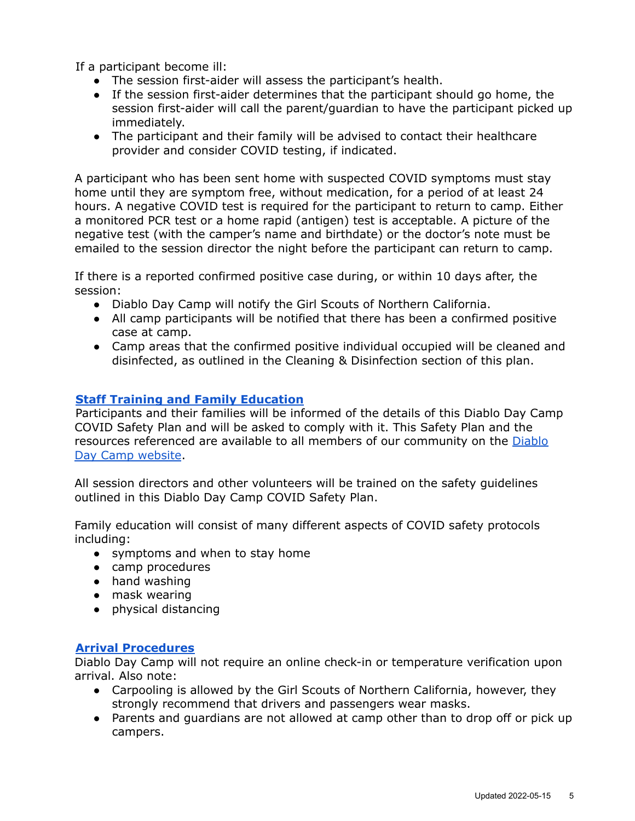If a participant become ill:

- The session first-aider will assess the participant's health.
- If the session first-aider determines that the participant should go home, the session first-aider will call the parent/guardian to have the participant picked up immediately.
- The participant and their family will be advised to contact their healthcare provider and consider COVID testing, if indicated.

A participant who has been sent home with suspected COVID symptoms must stay home until they are symptom free, without medication, for a period of at least 24 hours. A negative COVID test is required for the participant to return to camp. Either a monitored PCR test or a home rapid (antigen) test is acceptable. A picture of the negative test (with the camper's name and birthdate) or the doctor's note must be emailed to the session director the night before the participant can return to camp.

If there is a reported confirmed positive case during, or within 10 days after, the session:

- Diablo Day Camp will notify the Girl Scouts of Northern California.
- All camp participants will be notified that there has been a confirmed positive case at camp.
- Camp areas that the confirmed positive individual occupied will be cleaned and disinfected, as outlined in the Cleaning & Disinfection section of this plan.

## <span id="page-4-0"></span>**Staff Training and Family Education**

Participants and their families will be informed of the details of this Diablo Day Camp COVID Safety Plan and will be asked to comply with it. This Safety Plan and the resources referenced are available to all members of our community on the [Diablo](https://diablodaycamp.org/) Day Camp [website](https://diablodaycamp.org/).

All session directors and other volunteers will be trained on the safety guidelines outlined in this Diablo Day Camp COVID Safety Plan.

Family education will consist of many different aspects of COVID safety protocols including:

- symptoms and when to stay home
- camp procedures
- hand washing
- mask wearing
- <span id="page-4-1"></span>● physical distancing

#### **Arrival Procedures**

Diablo Day Camp will not require an online check-in or temperature verification upon arrival. Also note:

- Carpooling is allowed by the Girl Scouts of Northern California, however, they strongly recommend that drivers and passengers wear masks.
- Parents and guardians are not allowed at camp other than to drop off or pick up campers.